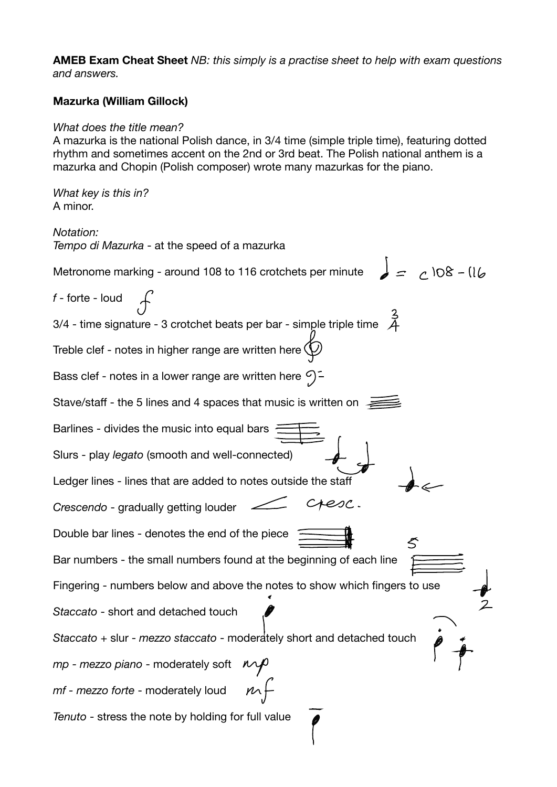**AMEB Exam Cheat Sheet** *NB: this simply is a practise sheet to help with exam questions and answers.* 

## **Mazurka (William Gillock)**

## *What does the title mean?*

A mazurka is the national Polish dance, in 3/4 time (simple triple time), featuring dotted rhythm and sometimes accent on the 2nd or 3rd beat. The Polish national anthem is a mazurka and Chopin (Polish composer) wrote many mazurkas for the piano.

*What key is this in?*  A minor.

*Notation: Tempo di Mazurka* - at the speed of a mazurka  $= 108 - 116$ Metronome marking - around 108 to 116 crotchets per minute *f* - forte - loud 3/4 - time signature - 3 crotchet beats per bar - simple triple time Treble clef - notes in higher range are written here  $\bigcirc$ Bass clef - notes in a lower range are written here  $\Im$  = Stave/staff - the 5 lines and 4 spaces that music is written on Barlines - divides the music into equal bars Slurs - play *legato* (smooth and well-connected) Ledger lines - lines that are added to notes outside the staff cresc. *Crescendo* - gradually getting louder Double bar lines - denotes the end of the piece Bar numbers - the small numbers found at the beginning of each line Fingering - numbers below and above the notes to show which fingers to use *Staccato* - short and detached touch *Staccato* + slur - *mezzo staccato* - moderately short and detached touch *mp - mezzo piano* - moderately soft  $n +$ *mf - mezzo forte* - moderately loud *Tenuto* - stress the note by holding for full value